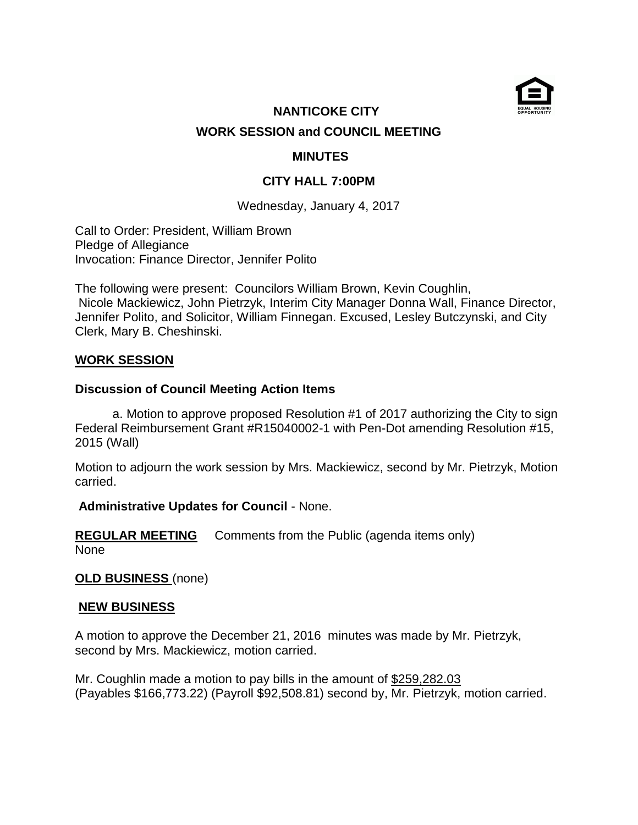

# **NANTICOKE CITY WORK SESSION and COUNCIL MEETING**

## **MINUTES**

## **CITY HALL 7:00PM**

Wednesday, January 4, 2017

Call to Order: President, William Brown Pledge of Allegiance Invocation: Finance Director, Jennifer Polito

The following were present: Councilors William Brown, Kevin Coughlin, Nicole Mackiewicz, John Pietrzyk, Interim City Manager Donna Wall, Finance Director, Jennifer Polito, and Solicitor, William Finnegan. Excused, Lesley Butczynski, and City Clerk, Mary B. Cheshinski.

## **WORK SESSION**

#### **Discussion of Council Meeting Action Items**

 a. Motion to approve proposed Resolution #1 of 2017 authorizing the City to sign Federal Reimbursement Grant #R15040002-1 with Pen-Dot amending Resolution #15, 2015 (Wall)

Motion to adjourn the work session by Mrs. Mackiewicz, second by Mr. Pietrzyk, Motion carried.

#### **Administrative Updates for Council** - None.

**REGULAR MEETING** Comments from the Public (agenda items only) None

# **OLD BUSINESS** (none)

#### **NEW BUSINESS**

A motion to approve the December 21, 2016 minutes was made by Mr. Pietrzyk, second by Mrs. Mackiewicz, motion carried.

Mr. Coughlin made a motion to pay bills in the amount of \$259,282.03 (Payables \$166,773.22) (Payroll \$92,508.81) second by, Mr. Pietrzyk, motion carried.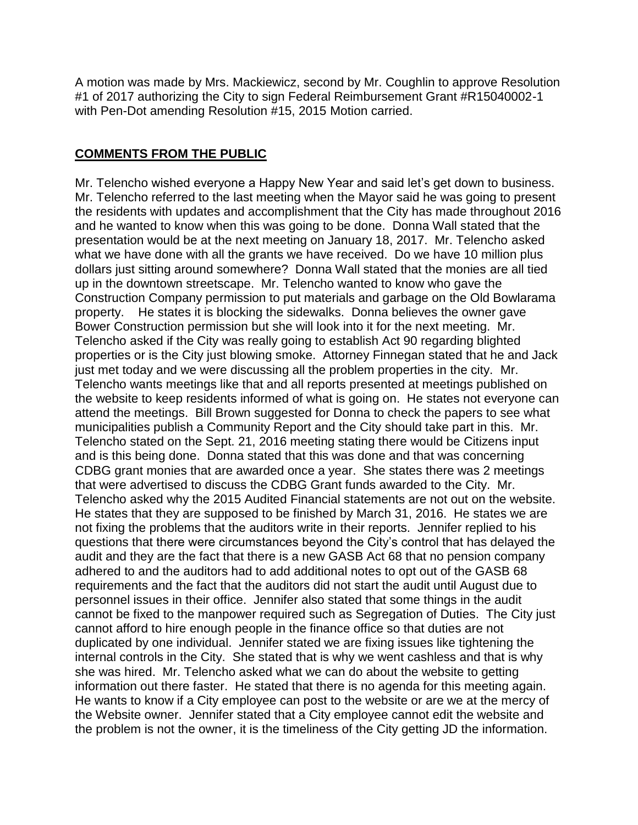A motion was made by Mrs. Mackiewicz, second by Mr. Coughlin to approve Resolution #1 of 2017 authorizing the City to sign Federal Reimbursement Grant #R15040002-1 with Pen-Dot amending Resolution #15, 2015 Motion carried.

## **COMMENTS FROM THE PUBLIC**

Mr. Telencho wished everyone a Happy New Year and said let's get down to business. Mr. Telencho referred to the last meeting when the Mayor said he was going to present the residents with updates and accomplishment that the City has made throughout 2016 and he wanted to know when this was going to be done. Donna Wall stated that the presentation would be at the next meeting on January 18, 2017. Mr. Telencho asked what we have done with all the grants we have received. Do we have 10 million plus dollars just sitting around somewhere? Donna Wall stated that the monies are all tied up in the downtown streetscape. Mr. Telencho wanted to know who gave the Construction Company permission to put materials and garbage on the Old Bowlarama property. He states it is blocking the sidewalks. Donna believes the owner gave Bower Construction permission but she will look into it for the next meeting. Mr. Telencho asked if the City was really going to establish Act 90 regarding blighted properties or is the City just blowing smoke. Attorney Finnegan stated that he and Jack just met today and we were discussing all the problem properties in the city. Mr. Telencho wants meetings like that and all reports presented at meetings published on the website to keep residents informed of what is going on. He states not everyone can attend the meetings. Bill Brown suggested for Donna to check the papers to see what municipalities publish a Community Report and the City should take part in this. Mr. Telencho stated on the Sept. 21, 2016 meeting stating there would be Citizens input and is this being done. Donna stated that this was done and that was concerning CDBG grant monies that are awarded once a year. She states there was 2 meetings that were advertised to discuss the CDBG Grant funds awarded to the City. Mr. Telencho asked why the 2015 Audited Financial statements are not out on the website. He states that they are supposed to be finished by March 31, 2016. He states we are not fixing the problems that the auditors write in their reports. Jennifer replied to his questions that there were circumstances beyond the City's control that has delayed the audit and they are the fact that there is a new GASB Act 68 that no pension company adhered to and the auditors had to add additional notes to opt out of the GASB 68 requirements and the fact that the auditors did not start the audit until August due to personnel issues in their office. Jennifer also stated that some things in the audit cannot be fixed to the manpower required such as Segregation of Duties. The City just cannot afford to hire enough people in the finance office so that duties are not duplicated by one individual. Jennifer stated we are fixing issues like tightening the internal controls in the City. She stated that is why we went cashless and that is why she was hired. Mr. Telencho asked what we can do about the website to getting information out there faster. He stated that there is no agenda for this meeting again. He wants to know if a City employee can post to the website or are we at the mercy of the Website owner. Jennifer stated that a City employee cannot edit the website and the problem is not the owner, it is the timeliness of the City getting JD the information.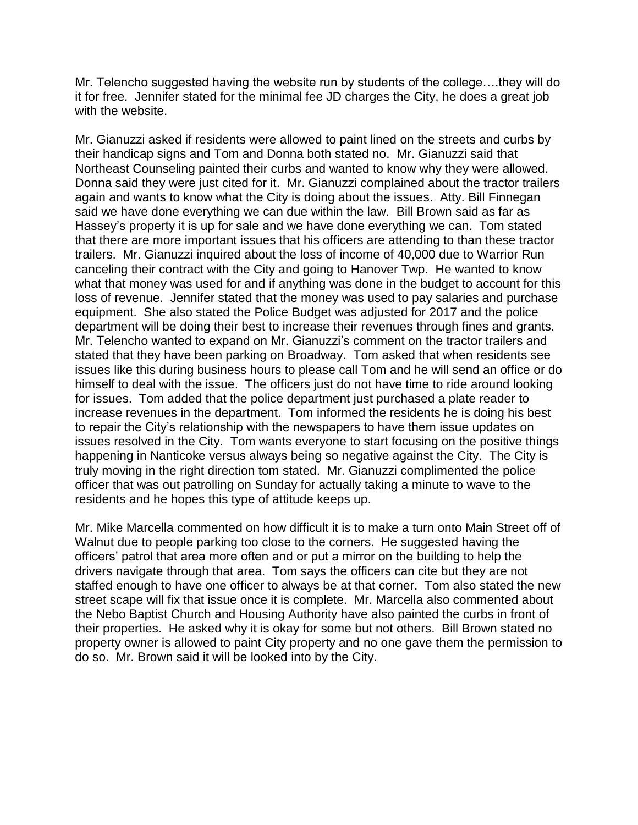Mr. Telencho suggested having the website run by students of the college….they will do it for free. Jennifer stated for the minimal fee JD charges the City, he does a great job with the website.

Mr. Gianuzzi asked if residents were allowed to paint lined on the streets and curbs by their handicap signs and Tom and Donna both stated no. Mr. Gianuzzi said that Northeast Counseling painted their curbs and wanted to know why they were allowed. Donna said they were just cited for it. Mr. Gianuzzi complained about the tractor trailers again and wants to know what the City is doing about the issues. Atty. Bill Finnegan said we have done everything we can due within the law. Bill Brown said as far as Hassey's property it is up for sale and we have done everything we can. Tom stated that there are more important issues that his officers are attending to than these tractor trailers. Mr. Gianuzzi inquired about the loss of income of 40,000 due to Warrior Run canceling their contract with the City and going to Hanover Twp. He wanted to know what that money was used for and if anything was done in the budget to account for this loss of revenue. Jennifer stated that the money was used to pay salaries and purchase equipment. She also stated the Police Budget was adjusted for 2017 and the police department will be doing their best to increase their revenues through fines and grants. Mr. Telencho wanted to expand on Mr. Gianuzzi's comment on the tractor trailers and stated that they have been parking on Broadway. Tom asked that when residents see issues like this during business hours to please call Tom and he will send an office or do himself to deal with the issue. The officers just do not have time to ride around looking for issues. Tom added that the police department just purchased a plate reader to increase revenues in the department. Tom informed the residents he is doing his best to repair the City's relationship with the newspapers to have them issue updates on issues resolved in the City. Tom wants everyone to start focusing on the positive things happening in Nanticoke versus always being so negative against the City. The City is truly moving in the right direction tom stated. Mr. Gianuzzi complimented the police officer that was out patrolling on Sunday for actually taking a minute to wave to the residents and he hopes this type of attitude keeps up.

Mr. Mike Marcella commented on how difficult it is to make a turn onto Main Street off of Walnut due to people parking too close to the corners. He suggested having the officers' patrol that area more often and or put a mirror on the building to help the drivers navigate through that area. Tom says the officers can cite but they are not staffed enough to have one officer to always be at that corner. Tom also stated the new street scape will fix that issue once it is complete. Mr. Marcella also commented about the Nebo Baptist Church and Housing Authority have also painted the curbs in front of their properties. He asked why it is okay for some but not others. Bill Brown stated no property owner is allowed to paint City property and no one gave them the permission to do so. Mr. Brown said it will be looked into by the City.